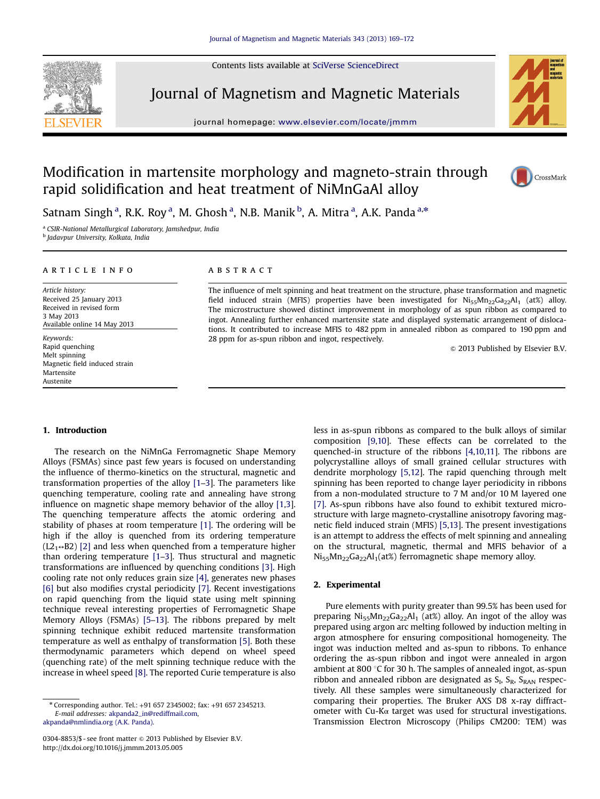Contents lists available at SciVerse ScienceDirect



Journal of Magnetism and Magnetic Materials

journal homepage: <www.elsevier.com/locate/jmmm>/locate/jmmm/locate/jmmm/locate/jmmm/locate/jmmm/locate/jmmm/locate/jmmm/locate/jmmm/locate/jmmm/locate/jmmm/locate/jmmm/locate/jmmm/locate/jmmm/locate/jmmm/locate/jmmm/locate



# Modification in martensite morphology and magneto-strain through rapid solidification and heat treatment of NiMnGaAl alloy



Satnam Singh <sup>a</sup>, R.K. Roy <sup>a</sup>, M. Ghosh <sup>a</sup>, N.B. Manik <sup>b</sup>, A. Mitra <sup>a</sup>, A.K. Panda <sup>a,</sup>\*

a CSIR-National Metallurgical Laboratory, Jamshedpur, India

<sup>b</sup> Jadavpur University, Kolkata, India

### article info

Article history: Received 25 January 2013 Received in revised form 3 May 2013 Available online 14 May 2013

Keywords: Rapid quenching Melt spinning Magnetic field induced strain Martensite Austenite

# **ABSTRACT**

The influence of melt spinning and heat treatment on the structure, phase transformation and magnetic field induced strain (MFIS) properties have been investigated for  $Ni_{55}Mn_{22}Ga_{22}Al_1$  (at%) alloy. The microstructure showed distinct improvement in morphology of as spun ribbon as compared to ingot. Annealing further enhanced martensite state and displayed systematic arrangement of dislocations. It contributed to increase MFIS to 482 ppm in annealed ribbon as compared to 190 ppm and 28 ppm for as-spun ribbon and ingot, respectively.

 $\odot$  2013 Published by Elsevier B.V.

# 1. Introduction

The research on the NiMnGa Ferromagnetic Shape Memory Alloys (FSMAs) since past few years is focused on understanding the influence of thermo-kinetics on the structural, magnetic and transformation properties of the alloy [\[1](#page-3-0)–[3\]](#page-3-0). The parameters like quenching temperature, cooling rate and annealing have strong influence on magnetic shape memory behavior of the alloy [\[1,3\]](#page-3-0). The quenching temperature affects the atomic ordering and stability of phases at room temperature [\[1\].](#page-3-0) The ordering will be high if the alloy is quenched from its ordering temperature  $(L2<sub>1</sub> \leftrightarrow B2)$  [\[2\]](#page-3-0) and less when quenched from a temperature higher than ordering temperature [\[1](#page-3-0)–[3](#page-3-0)]. Thus structural and magnetic transformations are influenced by quenching conditions [\[3\].](#page-3-0) High cooling rate not only reduces grain size [\[4\],](#page-3-0) generates new phases [\[6\]](#page-3-0) but also modifies crystal periodicity [\[7\].](#page-3-0) Recent investigations on rapid quenching from the liquid state using melt spinning technique reveal interesting properties of Ferromagnetic Shape Memory Alloys (FSMAs) [\[5](#page-3-0)–[13](#page-3-0)]. The ribbons prepared by melt spinning technique exhibit reduced martensite transformation temperature as well as enthalpy of transformation [\[5\]](#page-3-0). Both these thermodynamic parameters which depend on wheel speed (quenching rate) of the melt spinning technique reduce with the increase in wheel speed [\[8\].](#page-3-0) The reported Curie temperature is also

less in as-spun ribbons as compared to the bulk alloys of similar composition [\[9,10\]](#page-3-0). These effects can be correlated to the quenched-in structure of the ribbons [\[4,10,11](#page-3-0)]. The ribbons are polycrystalline alloys of small grained cellular structures with dendrite morphology [\[5,12\]](#page-3-0). The rapid quenching through melt spinning has been reported to change layer periodicity in ribbons from a non-modulated structure to 7 M and/or 10 M layered one [\[7\]](#page-3-0). As-spun ribbons have also found to exhibit textured microstructure with large magneto-crystalline anisotropy favoring magnetic field induced strain (MFIS) [\[5,13](#page-3-0)]. The present investigations is an attempt to address the effects of melt spinning and annealing on the structural, magnetic, thermal and MFIS behavior of a  $Ni_{55}Mn_{22}Ga_{22}Al_1(at\%)$  ferromagnetic shape memory alloy.

# 2. Experimental

Pure elements with purity greater than 99.5% has been used for preparing  $Ni_{55}Mn_{22}Ga_{22}Al_1$  (at%) alloy. An ingot of the alloy was prepared using argon arc melting followed by induction melting in argon atmosphere for ensuring compositional homogeneity. The ingot was induction melted and as-spun to ribbons. To enhance ordering the as-spun ribbon and ingot were annealed in argon ambient at 800 $\degree$ C for 30 h. The samples of annealed ingot, as-spun ribbon and annealed ribbon are designated as  $S_I$ ,  $S_R$ ,  $S_{RAN}$  respectively. All these samples were simultaneously characterized for comparing their properties. The Bruker AXS D8 x-ray diffractometer with Cu-K $\alpha$  target was used for structural investigations. Transmission Electron Microscopy (Philips CM200: TEM) was

<sup>n</sup> Corresponding author. Tel.: +91 657 2345002; fax: +91 657 2345213. E-mail addresses: [akpanda2\\_in@rediffmail.com,](mailto:akpanda_2@rediffmail.com) [akpanda@nmlindia.org \(A.K. Panda\).](mailto:akpanda@nmlindia.org)

<sup>0304-8853/\$ -</sup> see front matter @ 2013 Published by Elsevier B.V. <http://dx.doi.org/10.1016/j.jmmm.2013.05.005>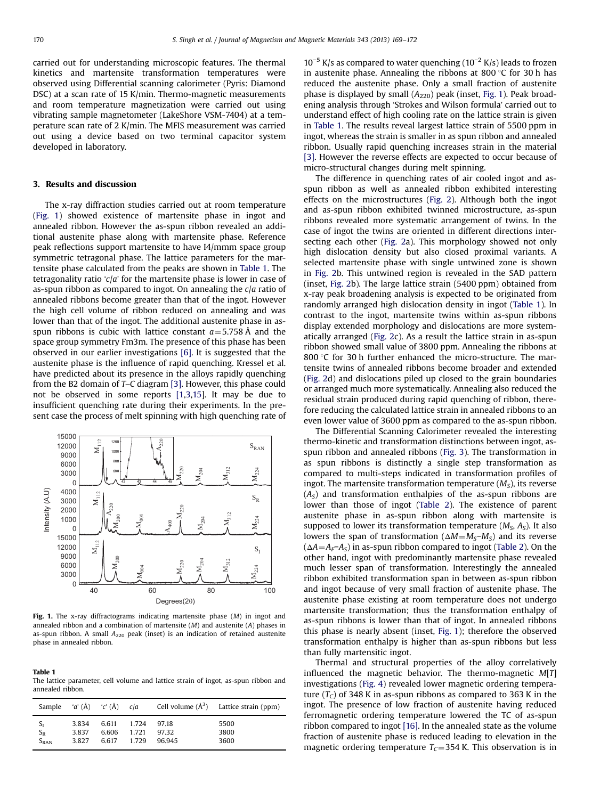carried out for understanding microscopic features. The thermal kinetics and martensite transformation temperatures were observed using Differential scanning calorimeter (Pyris: Diamond DSC) at a scan rate of 15 K/min. Thermo-magnetic measurements and room temperature magnetization were carried out using vibrating sample magnetometer (LakeShore VSM-7404) at a temperature scan rate of 2 K/min. The MFIS measurement was carried out using a device based on two terminal capacitor system developed in laboratory.

### 3. Results and discussion

The x-ray diffraction studies carried out at room temperature (Fig. 1) showed existence of martensite phase in ingot and annealed ribbon. However the as-spun ribbon revealed an additional austenite phase along with martensite phase. Reference peak reflections support martensite to have I4/mmm space group symmetric tetragonal phase. The lattice parameters for the martensite phase calculated from the peaks are shown in Table 1. The tetragonality ratio ' $c/a$ ' for the martensite phase is lower in case of as-spun ribbon as compared to ingot. On annealing the  $c/a$  ratio of annealed ribbons become greater than that of the ingot. However the high cell volume of ribbon reduced on annealing and was lower than that of the ingot. The additional austenite phase in asspun ribbons is cubic with lattice constant  $a=5.758$  Å and the space group symmetry Fm3m. The presence of this phase has been observed in our earlier investigations [\[6\]](#page-3-0). It is suggested that the austenite phase is the influence of rapid quenching. Kressel et al. have predicted about its presence in the alloys rapidly quenching from the B2 domain of T–C diagram [\[3\]](#page-3-0). However, this phase could not be observed in some reports [\[1,3,15](#page-3-0)]. It may be due to insufficient quenching rate during their experiments. In the present case the process of melt spinning with high quenching rate of



Fig. 1. The x-ray diffractograms indicating martensite phase  $(M)$  in ingot and annealed ribbon and a combination of martensite (M) and austenite (A) phases in as-spun ribbon. A small  $A_{220}$  peak (inset) is an indication of retained austenite phase in annealed ribbon.

Table 1

The lattice parameter, cell volume and lattice strain of ingot, as-spun ribbon and annealed ribbon.

| Sample        | $'a'(\AA)$ $'c'(\AA)$ $c/a$ |       |         |       | Cell volume $(\AA^3)$ Lattice strain (ppm) |
|---------------|-----------------------------|-------|---------|-------|--------------------------------------------|
| $S_I$         | 3.834                       | 6.611 | 1.724   | 97.18 | 5500                                       |
| $S_R$         | 3.837                       | 6.606 | 1 7 2 1 | 9732  | 3800                                       |
| $S_{\rm RAN}$ | 3.827                       | 6.617 | 1729    | 96945 | 3600                                       |

 $10^{-5}$  K/s as compared to water quenching ( $10^{-2}$  K/s) leads to frozen in austenite phase. Annealing the ribbons at 800  $\degree$ C for 30 h has reduced the austenite phase. Only a small fraction of austenite phase is displayed by small  $(A_{220})$  peak (inset, Fig. 1). Peak broadening analysis through 'Strokes and Wilson formula' carried out to understand effect of high cooling rate on the lattice strain is given in Table 1. The results reveal largest lattice strain of 5500 ppm in ingot, whereas the strain is smaller in as spun ribbon and annealed ribbon. Usually rapid quenching increases strain in the material [\[3\]](#page-3-0). However the reverse effects are expected to occur because of micro-structural changes during melt spinning.

The difference in quenching rates of air cooled ingot and asspun ribbon as well as annealed ribbon exhibited interesting effects on the microstructures ([Fig. 2](#page-2-0)). Although both the ingot and as-spun ribbon exhibited twinned microstructure, as-spun ribbons revealed more systematic arrangement of twins. In the case of ingot the twins are oriented in different directions intersecting each other [\(Fig. 2](#page-2-0)a). This morphology showed not only high dislocation density but also closed proximal variants. A selected martensite phase with single untwined zone is shown in [Fig. 2](#page-2-0)b. This untwined region is revealed in the SAD pattern (inset, [Fig. 2b](#page-2-0)). The large lattice strain (5400 ppm) obtained from x-ray peak broadening analysis is expected to be originated from randomly arranged high dislocation density in ingot (Table 1). In contrast to the ingot, martensite twins within as-spun ribbons display extended morphology and dislocations are more systematically arranged [\(Fig. 2c](#page-2-0)). As a result the lattice strain in as-spun ribbon showed small value of 3800 ppm. Annealing the ribbons at 800  $\degree$ C for 30 h further enhanced the micro-structure. The martensite twins of annealed ribbons become broader and extended ([Fig. 2](#page-2-0)d) and dislocations piled up closed to the grain boundaries or arranged much more systematically. Annealing also reduced the residual strain produced during rapid quenching of ribbon, therefore reducing the calculated lattice strain in annealed ribbons to an even lower value of 3600 ppm as compared to the as-spun ribbon.

The Differential Scanning Calorimeter revealed the interesting thermo-kinetic and transformation distinctions between ingot, asspun ribbon and annealed ribbons [\(Fig. 3\)](#page-2-0). The transformation in as spun ribbons is distinctly a single step transformation as compared to multi-steps indicated in transformation profiles of ingot. The martensite transformation temperature  $(M<sub>S</sub>)$ , its reverse  $(A<sub>S</sub>)$  and transformation enthalpies of the as-spun ribbons are lower than those of ingot ([Table 2](#page-2-0)). The existence of parent austenite phase in as-spun ribbon along with martensite is supposed to lower its transformation temperature  $(M_S, A_S)$ . It also lowers the span of transformation ( $\Delta M = M_S - M_S$ ) and its reverse  $(\Delta A = A_F - A_S)$  in as-spun ribbon compared to ingot [\(Table 2](#page-2-0)). On the other hand, ingot with predominantly martensite phase revealed much lesser span of transformation. Interestingly the annealed ribbon exhibited transformation span in between as-spun ribbon and ingot because of very small fraction of austenite phase. The austenite phase existing at room temperature does not undergo martensite transformation; thus the transformation enthalpy of as-spun ribbons is lower than that of ingot. In annealed ribbons this phase is nearly absent (inset, Fig. 1); therefore the observed transformation enthalpy is higher than as-spun ribbons but less than fully martensitic ingot.

Thermal and structural properties of the alloy correlatively influenced the magnetic behavior. The thermo-magnetic  $M[T]$ investigations ([Fig. 4](#page-2-0)) revealed lower magnetic ordering temperature  $(T_C)$  of 348 K in as-spun ribbons as compared to 363 K in the ingot. The presence of low fraction of austenite having reduced ferromagnetic ordering temperature lowered the TC of as-spun ribbon compared to ingot [\[16\].](#page-3-0) In the annealed state as the volume fraction of austenite phase is reduced leading to elevation in the magnetic ordering temperature  $T_c$ =354 K. This observation is in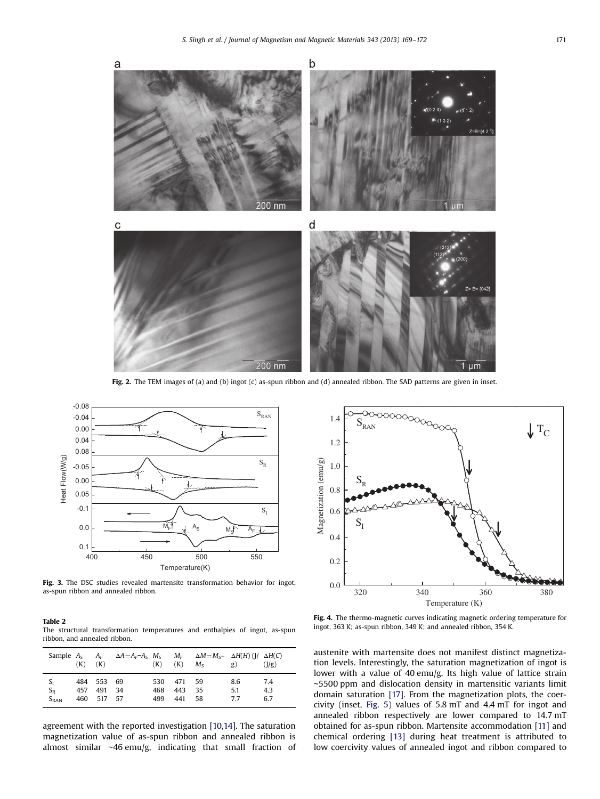<span id="page-2-0"></span>

Fig. 2. The TEM images of (a) and (b) ingot (c) as-spun ribbon and (d) annealed ribbon. The SAD patterns are given in inset.



Fig. 3. The DSC studies revealed martensite transformation behavior for ingot, as-spun ribbon and annealed ribbon.

| Table 2 |                                                                             |  |  |  |
|---------|-----------------------------------------------------------------------------|--|--|--|
|         | The structural transformation temperatures and enthalpies of ingot, as-spun |  |  |  |
|         | ribbon, and annealed ribbon.                                                |  |  |  |

|                             | $(K)$ $(K)$ |                                | Sample $A_S$ $A_F$ $\Delta A = A_F - A_S$ $M_S$ $M_F$ $\Delta M = M_S - \Delta H(H)$ ([ <i> </i> $\Delta H(C)$ ] | (K)               | (K)               | $M_{S}$           | g)               | $\frac{1}{g}$     |
|-----------------------------|-------------|--------------------------------|------------------------------------------------------------------------------------------------------------------|-------------------|-------------------|-------------------|------------------|-------------------|
| $S_I$<br>$S_R$<br>$S_{RAN}$ | 457<br>460  | 484 553 69<br>491 34<br>517 57 |                                                                                                                  | 530<br>468<br>499 | 471<br>443<br>441 | - 59<br>-35<br>58 | 8.6<br>5.1<br>77 | 7.4<br>4.3<br>6.7 |

agreement with the reported investigation [\[10,14](#page-3-0)]. The saturation magnetization value of as-spun ribbon and annealed ribbon is almost similar ∼46 emu/g, indicating that small fraction of



Fig. 4. The thermo-magnetic curves indicating magnetic ordering temperature for ingot, 363 K; as-spun ribbon, 349 K; and annealed ribbon, 354 K.

austenite with martensite does not manifest distinct magnetization levels. Interestingly, the saturation magnetization of ingot is lower with a value of 40 emu/g. Its high value of lattice strain ∼5500 ppm and dislocation density in martensitic variants limit domain saturation [\[17\].](#page-3-0) From the magnetization plots, the coercivity (inset, [Fig. 5\)](#page-3-0) values of 5.8 mT and 4.4 mT for ingot and annealed ribbon respectively are lower compared to 14.7 mT obtained for as-spun ribbon. Martensite accommodation [\[11\]](#page-3-0) and chemical ordering [\[13\]](#page-3-0) during heat treatment is attributed to low coercivity values of annealed ingot and ribbon compared to